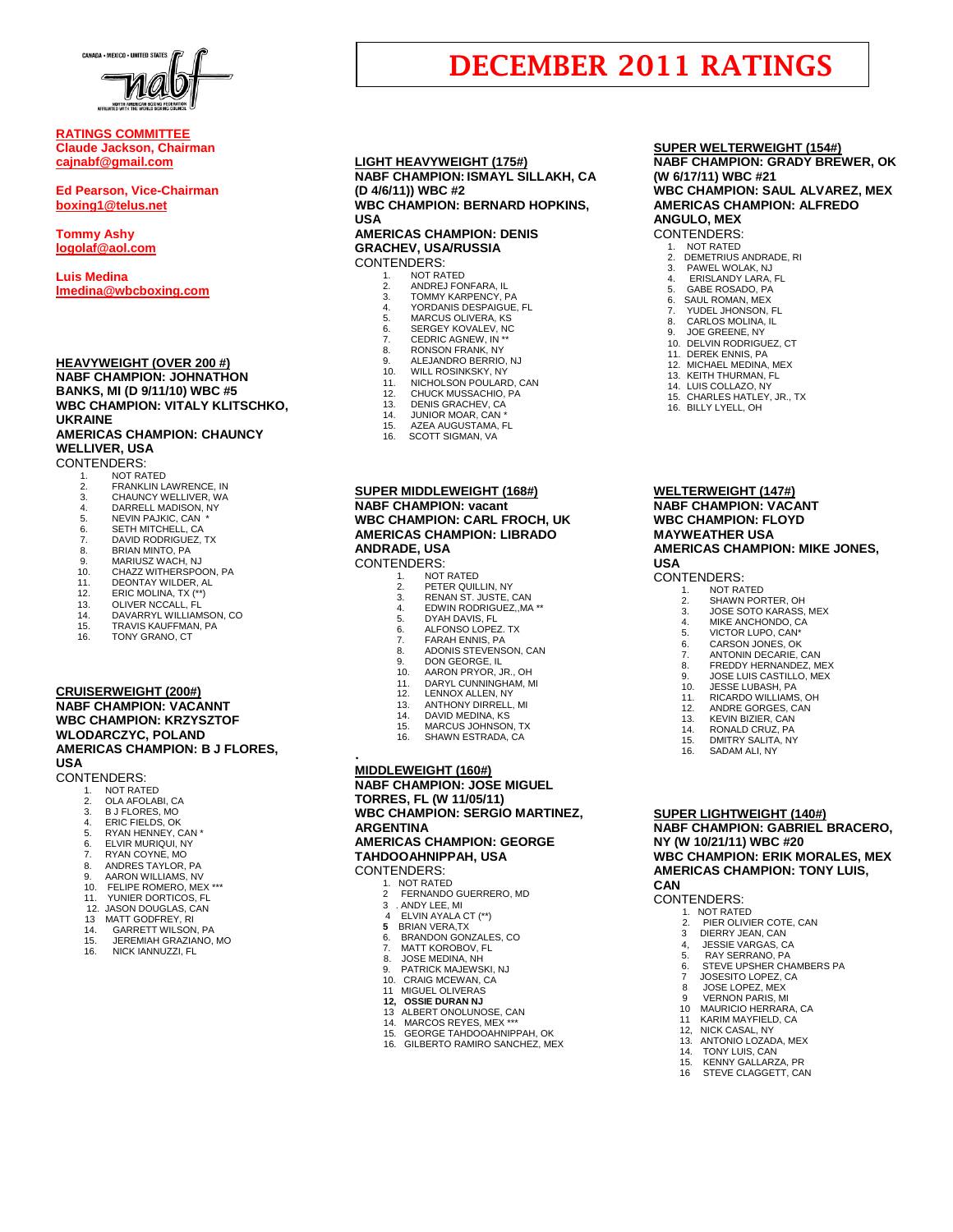

# **RATINGS COMMITTEE Claude Jackson, Chairman [cajnabf@gmail.com](mailto:cajnabf@gmail.com)**

**Ed Pearson, Vice-Chairman boxing1@telus.net**

**Tommy Ashy [logolaf@aol.com](mailto:logolaf@aol.com)**

**Luis Medina [lmedina@wbcboxing.com](mailto:lmedina@wbcboxing.com)**

#### **HEAVYWEIGHT (OVER 200 #) NABF CHAMPION: JOHNATHON BANKS, MI (D 9/11/10) WBC #5 WBC CHAMPION: VITALY KLITSCHKO, UKRAINE AMERICAS CHAMPION: CHAUNCY WELLIVER, USA**

CONTENDERS:

- 1. NOT RATED<br>2. FRANKLIN L.
- 2. FRANKLIN LAWRENCE, IN<br>3. CHAUNCY WELLIVER, WA
- 3. CHAUNCY WELLIVER, WA<br>4 DARRELL MADISON NY
- 4. DARRELL MADISON, NY<br>5. NEVIN PAJKIC. CAN \*
- 5. NEVIN PAJKIC, CAN<br>6. SETH MITCHELL, CA
- 6. SETH MITCHELL, CA
- 7. DAVID RODRIGUEZ, TX<br>8. BRIAN MINTO, PA 8. BRIAN MINTO, PA
- 9. MARIUSZ WACH, NJ 10. CHAZZ WITHERSPOON, PA
- 
- 11. DEONTAY WILDER, AL<br>12. ERIC MOLINA. TX (\*\*)
- 12. ERIC MOLINA, TX (\*\*) 13. OLIVER NCCALL, FL
- 
- 14. DAVARRYL WILLIAMSON, CO 15. TRAVIS KAUFFMAN, PA
- 16. TONY GRANO, CT

# **CRUISERWEIGHT (200#) NABF CHAMPION: VACANNT WBC CHAMPION: KRZYSZTOF WLODARCZYC, POLAND AMERICAS CHAMPION: B J FLORES, USA**

CONTENDERS: 1. NOT RATED

- 
- 2. OLA AFOLABI, CA<br>3 BJ FLORES MO
- 3. B J FLORES, MO 4. ERIC FIELDS, OK
- 
- 5. RYAN HENNEY, CAN \*<br>6. ELVIR MURIQUI, NY 6. ELVIR MURIQUI, NY
- 
- 7. RYAN COYNE, MO<br>8. ANDRES TAYLOR.
- 8. ANDRES TAYLOR, PA 9. AARON WILLIAMS, NV
- 10. FELIPE ROMERO, MEX \*\*\*
- 11. YUNIER DORTICOS, FL
- 12. JASON DOUGLAS, CAN<br>13 MATT GODFREY, RI
- 
- 13 MATT GODFREY, RI<br>14 GARRETT WILSON
- 14. GARRETT WILSON, PA 15. JEREMIAH GRAZIANO, MO
- 16. NICK IANNUZZI, FL

# **LIGHT HEAVYWEIGHT (175#) NABF CHAMPION: ISMAYL SILLAKH, CA (D 4/6/11)) WBC #2 WBC CHAMPION: BERNARD HOPKINS,**

### **USA AMERICAS CHAMPION: DENIS**

#### **GRACHEV, USA/RUSSIA** CONTENDERS:

- 1. NOT RATED<br>2 ANDREJ FO
	- 2. ANDREJ FONFARA, IL<br>3. TOMMY KARPENCY, F
	- 3. TOMMY KARPENCY, PA<br>4. YORDANIS DESPAIGUE.
	- 4. YORDANIS DESPAIGUE, FL
	- 5. MARCUS OLIVERA, KS<br>6. SERGEY KOVALEV, NC 6. SERGEY KOVALEV, NC<br>7 CEDRIC AGNEW IN \*\*
	-
- 7. CEDRIC AGNEW, IN \*\* 8. RONSON FRANK, NY
- 9. ALEJANDRO BERRIO, NJ<br>10. WILL ROSINKSKY, NY
- 
- 10. WILL ROSINKSKY, NY 11. NICHOLSON POULARD, CAN
- 
- 12. CHUCK MUSSACHIO, PA 13. DENIS GRACHEV, CA 14. JUNIOR MOAR, CAN \*
- 
- 15. AZEA AUGUSTAMA, FL<br>16. SCOTT SIGMAN. VA SCOTT SIGMAN, VA
- 

# **SUPER MIDDLEWEIGHT (168#) NABF CHAMPION: vacant WBC CHAMPION: CARL FROCH, UK AMERICAS CHAMPION: LIBRADO ANDRADE, USA**

CONTENDERS:

- 1. NOT RATED<br>2. PETER QUIL
	- 2. PETER QUILLIN, NY<br>3. RENAN ST JUSTE 3. RENAN ST. JUSTE, CAN
	-
- 4. EDWIN RODRIGUEZ, MA<sup>\*\*</sup><br>5. DYAH DAVIS FI
- 5. DYAH DAVIS, FL 6. ALFONSO LOPEZ. TX
- 
- 7. FARAH ENNIS, PA
- 8. ADONIS STEVENSON, CAN 9. DON GEORGE, IL
- 10. AARON PRYOR, JR., OH
- 11. DARYL CUNNINGHAM, MI<br>12. LENNOX ALLEN, NY
- 12. LENNOX ALLEN, NY
- 13. ANTHONY DIRRELL, MI<br>14. DAVID MEDINA, KS
- 14. DAVID MEDINA, KS
- 15. MARCUS JOHNSON, TX 16. SHAWN ESTRADA, CA
- 

# **MIDDLEWEIGHT (160#)**

.

**NABF CHAMPION: JOSE MIGUEL TORRES, FL (W 11/05/11) WBC CHAMPION: SERGIO MARTINEZ, ARGENTINA AMERICAS CHAMPION: GEORGE TAHDOOAHNIPPAH, USA**

CONTENDERS:

- 1. NOT RATED<br>2 FERNANDO
	- 2 FERNANDO GUERRERO, MD
- 3 . ANDY LEE, MI
- 4 ELVIN AYALA CT (\*\*)
- **5 BRIAN VERA, TX**<br>6. BRANDON GON 6. BRANDON GONZALES, CO.<br>7. MATT KOROBOV. FL
- 7. MATT KOROBOV, FL<br>8. JOSE MEDINA, NH
- 8. JOSE MEDINA, NH<br>9. PATRICK MAJEWS
- 9. PATRICK MAJEWSKI, NJ<br>10. CRAIG MCEWAN CA
- 10. CRAIG MCEWAN, CA 11 MIGUEL OLIVERAS
- **12, OSSIE DURAN NJ**
- 13 ALBERT ONOLUNOSE, CAN
- 14. MARCOS REYES, MEX \*\*\*
- 15. GEORGE TAHDOOAHNIPPAH, OK 16. GILBERTO RAMIRO SANCHEZ, MEX
	-

#### **SUPER WELTERWEIGHT (154#) NABF CHAMPION: GRADY BREWER, OK (W 6/17/11) WBC #21**

**WBC CHAMPION: SAUL ALVAREZ, MEX AMERICAS CHAMPION: ALFREDO ANGULO, MEX**

# CONTENDERS:

**DECEMBER 2011 RATINGS**

- 1. NOT RATED
- 2. DEMETRIUS ANDRADE, RI 3. PAWEL WOLAK, NJ
- 4. ERISLANDY LARA, FL
- 5. GABE ROSADO, PÁ<br>6. SAUL ROMAN, MEX
- 6. SAUL ROMAN, MEX<br>7. YUDEL JHONSON. YUDEL JHONSON, FL
- 8. CARLOS MOLINA, IL<br>9. JOE GREENE, NY 9. JOE GREENE, NY

**WELTERWEIGHT (147#) NABF CHAMPION: VACANT WBC CHAMPION: FLOYD MAYWEATHER USA**

**USA**

**CAN**

CONTENDERS: 1. NOT RATED 2. PIER OLIVIER COTE, CAN 3 DIERRY JEAN, CAN 4, JESSIE VARGAS, CA<br>5. RAY SERRANO, PA 5. RAY SERRANO, PA 6. STEVE UPSHER CHAMBERS PA

CONTENDERS:

**AMERICAS CHAMPION: MIKE JONES,** 

1. NOT RATED 2. SHAWN PORTER, OH 3. JOSE SOTO KARASS, MEX MIKE ANCHONDO, CA 5. VICTOR LUPO, CAN<sup>\*</sup><br>6. CARSON JONES, OK 6. CARSON JONES, OK 7. ANTONIN DECARIE, CAN 8. FREDDY HERNANDEZ, MEX<br>9. IOSE I UIS CASTILLO MEX 9. JOSE LUIS CASTILLO, MEX

10. JESSE LUBASH, PA 11. RICARDO WILLIAMS, OH 12. ANDRE GORGES, CAN 13. KEVIN BIZIER, CAN<br>14. RONALD CRUZ PA RONALD CRUZ, PA 15. DMITRY SALITA, NY SADAM ALI, NY

**SUPER LIGHTWEIGHT (140#)**

**NY (W 10/21/11) WBC #20**

7 JOSESITO LOPEZ, CA 8 JOSE LOPEZ, MEX 9 VERNON PARIS, MI<br>10 MAURICIO HERRAR 10 MAURICIO HERRARA, CA 11 KARIM MAYFIELD, CA 12, NICK CASAL, NY 13. ANTONIO LOZADA, MEX TONY LUIS, CAN 15. KENNY GALLARZA, PR<br>16 STEVE CLAGGETT. CA STEVE CLAGGETT, CAN

**NABF CHAMPION: GABRIEL BRACERO,** 

**WBC CHAMPION: ERIK MORALES, MEX AMERICAS CHAMPION: TONY LUIS,** 

DELVIN RODRIGUEZ, CT 11. DEREK ENNIS, PA 12. MICHAEL MEDINA, MEX 13. KEITH THURMAN, FL 14. LUIS COLLAZO, NY 15. CHARLES HATLEY, JR., TX 16. BILLY LYELL, OH